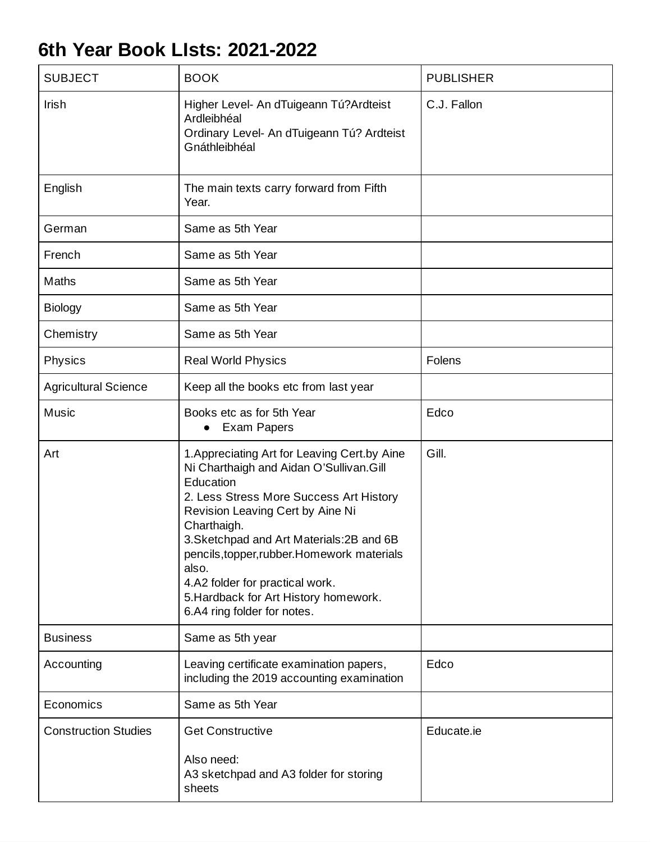## **6th Year Book LIsts: 2021-2022**

| <b>SUBJECT</b>              | <b>BOOK</b>                                                                                                                                                                                                                                                                                                                                                                                                         | <b>PUBLISHER</b> |
|-----------------------------|---------------------------------------------------------------------------------------------------------------------------------------------------------------------------------------------------------------------------------------------------------------------------------------------------------------------------------------------------------------------------------------------------------------------|------------------|
| Irish                       | Higher Level- An dTuigeann Tú?Ardteist<br>Ardleibhéal<br>Ordinary Level- An dTuigeann Tú? Ardteist<br>Gnáthleibhéal                                                                                                                                                                                                                                                                                                 | C.J. Fallon      |
| English                     | The main texts carry forward from Fifth<br>Year.                                                                                                                                                                                                                                                                                                                                                                    |                  |
| German                      | Same as 5th Year                                                                                                                                                                                                                                                                                                                                                                                                    |                  |
| French                      | Same as 5th Year                                                                                                                                                                                                                                                                                                                                                                                                    |                  |
| Maths                       | Same as 5th Year                                                                                                                                                                                                                                                                                                                                                                                                    |                  |
| <b>Biology</b>              | Same as 5th Year                                                                                                                                                                                                                                                                                                                                                                                                    |                  |
| Chemistry                   | Same as 5th Year                                                                                                                                                                                                                                                                                                                                                                                                    |                  |
| Physics                     | <b>Real World Physics</b>                                                                                                                                                                                                                                                                                                                                                                                           | Folens           |
| <b>Agricultural Science</b> | Keep all the books etc from last year                                                                                                                                                                                                                                                                                                                                                                               |                  |
| Music                       | Books etc as for 5th Year<br>• Exam Papers                                                                                                                                                                                                                                                                                                                                                                          | Edco             |
| Art                         | 1. Appreciating Art for Leaving Cert. by Aine<br>Ni Charthaigh and Aidan O'Sullivan.Gill<br>Education<br>2. Less Stress More Success Art History<br>Revision Leaving Cert by Aine Ni<br>Charthaigh.<br>3. Sketchpad and Art Materials: 2B and 6B<br>pencils, topper, rubber. Homework materials<br>also.<br>4.A2 folder for practical work.<br>5. Hardback for Art History homework.<br>6.A4 ring folder for notes. | Gill.            |
| <b>Business</b>             | Same as 5th year                                                                                                                                                                                                                                                                                                                                                                                                    |                  |
| Accounting                  | Leaving certificate examination papers,<br>including the 2019 accounting examination                                                                                                                                                                                                                                                                                                                                | Edco             |
| Economics                   | Same as 5th Year                                                                                                                                                                                                                                                                                                                                                                                                    |                  |
| <b>Construction Studies</b> | <b>Get Constructive</b><br>Also need:<br>A3 sketchpad and A3 folder for storing<br>sheets                                                                                                                                                                                                                                                                                                                           | Educate.ie       |